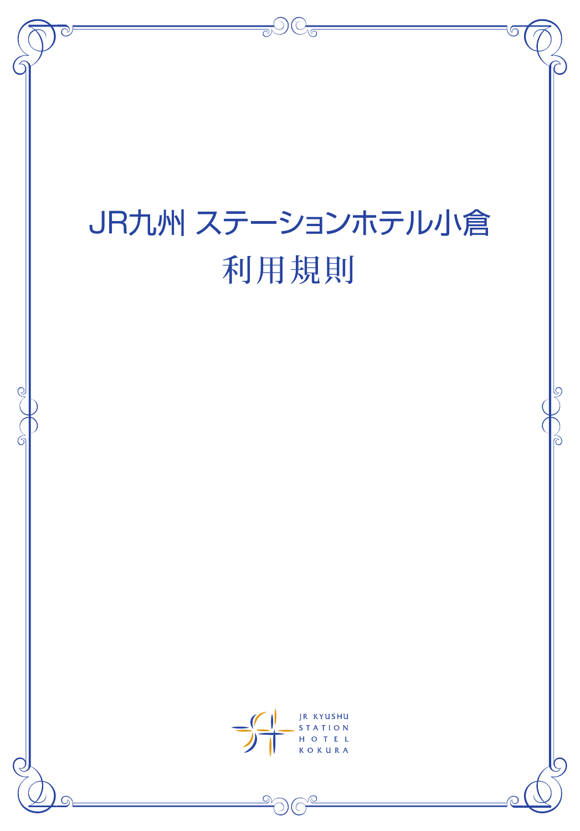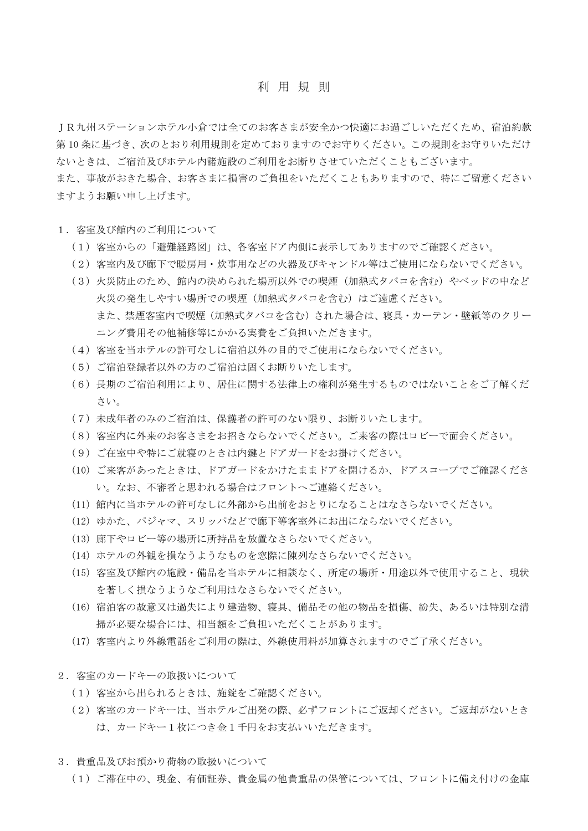#### 利用規 則

JR九州ステーションホテル小倉では全てのお客さまが安全かつ快適にお過ごしいただくため、宿泊約款 第 10 条に基づき、次のとおり利用規則を定めておりますのでお守りください。この規則をお守りいただけ ないときは、ご宿泊及びホテル内諸施設のご利用をお断りさせていただくこともございます。

また、事故がおきた場合、お客さまに損害のご負担をいただくこともありますので、特にご留意ください ますようお願い申し上げます。

- 1. 客室及び館内のご利用について
	- (1)客室からの「避難経路図」は、各客室ドア内側に表示してありますのでご確認ください。
	- (2)客室内及び廊下で暖房用・炊事用などの火器及びキャンドル等はご使用にならないでください。
	- (3)火災防止のため、館内の決められた場所以外での喫煙(加熱式タバコを含む)やベッドの中など 火災の発生しやすい場所での喫煙(加熱式タバコを含む)はご遠慮ください。 また、禁煙客室内で喫煙(加熱式タバコを含む)された場合は、寝具・カーテン・壁紙等のクリー ニング費用その他補修等にかかる実費をご負担いただきます。
	- (4)客室を当ホテルの許可なしに宿泊以外の目的でご使用にならないでください。
	- (5)ご宿泊登録者以外の方のご宿泊は固くお断りいたします。
	- (6)長期のご宿泊利用により、居住に関する法律上の権利が発生するものではないことをご了解くだ さい。
	- (7)未成年者のみのご宿泊は、保護者の許可のない限り、お断りいたします。
	- (8)客室内に外来のお客さまをお招きならないでください。ご来客の際はロビーで面会ください。
	- (9)ご在室中や特にご就寝のときは内鍵とドアガードをお掛けください。
	- (10)ご来客があったときは、ドアガードをかけたままドアを開けるか、ドアスコープでご確認くださ い。なお、不審者と思われる場合はフロントへご連絡ください。
	- (11)館内に当ホテルの許可なしに外部から出前をおとりになることはなさらないでください。
	- (12)ゆかた、パジャマ、スリッパなどで廊下等客室外にお出にならないでください。
	- (13)廊下やロビー等の場所に所持品を放置なさらないでください。
	- (14)ホテルの外観を損なうようなものを窓際に陳列なさらないでください。
	- (15)客室及び館内の施設・備品を当ホテルに相談なく、所定の場所・用途以外で使用すること、現状 を著しく損なうようなご利用はなさらないでください。
	- (16)宿泊客の故意又は過失により建造物、寝具、備品その他の物品を損傷、紛失、あるいは特別な清 掃が必要な場合には、相当額をご負担いただくことがあります。
	- (17)客室内より外線電話をご利用の際は、外線使用料が加算されますのでご了承ください。
- 2. 客室のカードキーの取扱いについて
	- (1)客室から出られるときは、施錠をご確認ください。
	- (2)客室のカードキーは、当ホテルご出発の際、必ずフロントにご返却ください。ご返却がないとき は、カードキー1枚につき金1千円をお支払いいただきます。
- 3.貴重品及びお預かり荷物の取扱いについて

(1)ご滞在中の、現金、有価証券、貴金属の他貴重品の保管については、フロントに備え付けの金庫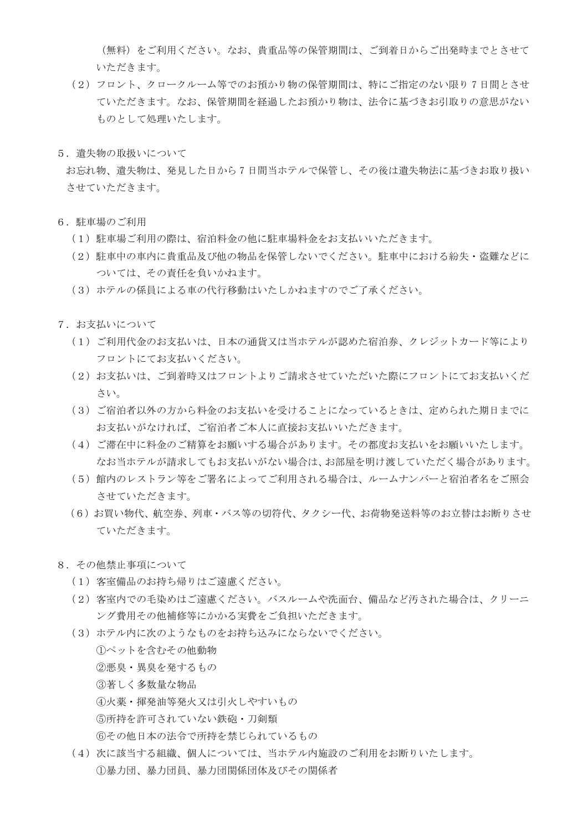(無料)をご利用ください。なお、貴重品等の保管期間は、ご到着日からご出発時までとさせて いただきます。

- (2)フロント、クロークルーム等でのお預かり物の保管期間は、特にご指定のない限り 7 日間とさせ ていただきます。なお、保管期間を経過したお預かり物は、法令に基づきお引取りの意思がない ものとして処理いたします。
- 5.遺失物の取扱いについて

お忘れ物、遺失物は、発見した日から 7 日間当ホテルで保管し、その後は遺失物法に基づきお取り扱い させていただきます。

- 6.駐車場のご利用
	- (1)駐車場ご利用の際は、宿泊料金の他に駐車場料金をお支払いいただきます。
	- (2)駐車中の車内に貴重品及び他の物品を保管しないでください。駐車中における紛失・盗難などに ついては、その責任を負いかねます。
	- (3)ホテルの係員による車の代行移動はいたしかねますのでご了承ください。
- 7.お支払いについて
	- (1)ご利用代金のお支払いは、日本の通貨又は当ホテルが認めた宿泊券、クレジットカード等により フロントにてお支払いください。
	- (2)お支払いは、ご到着時又はフロントよりご請求させていただいた際にフロントにてお支払いくだ さい。
	- (3)ご宿泊者以外の方から料金のお支払いを受けることになっているときは、定められた期日までに お支払いがなければ、ご宿泊者ご本人に直接お支払いいただきます。
	- (4)ご滞在中に料金のご精算をお願いする場合があります。その都度お支払いをお願いいたします。 なお当ホテルが請求してもお支払いがない場合は、お部屋を明け渡していただく場合があります。
	- (5)館内のレストラン等をご署名によってご利用される場合は、ルームナンバーと宿泊者名をご照会 させていただきます。
	- (6) お買い物代、航空券、列車・バス等の切符代、タクシー代、お荷物発送料等のお立替はお断りさせ ていただきます。
- 8.その他禁止事項について
	- (1)客室備品のお持ち帰りはご遠慮ください。
	- (2)客室内での毛染めはご遠慮ください。バスルームや洗面台、備品など汚された場合は、クリーニ ング費用その他補修等にかかる実費をご負担いただきます。
	- (3)ホテル内に次のようなものをお持ち込みにならないでください。
		- ①ペットを含むその他動物 ②悪臭・異臭を発するもの ③著しく多数量な物品 ④火薬・揮発油等発火又は引火しやすいもの ⑤所持を許可されていない鉄砲・刀剣類 ⑥その他日本の法令で所持を禁じられているもの
	- (4)次に該当する組織、個人については、当ホテル内施設のご利用をお断りいたします。 ①暴力団、暴力団員、暴力団関係団体及びその関係者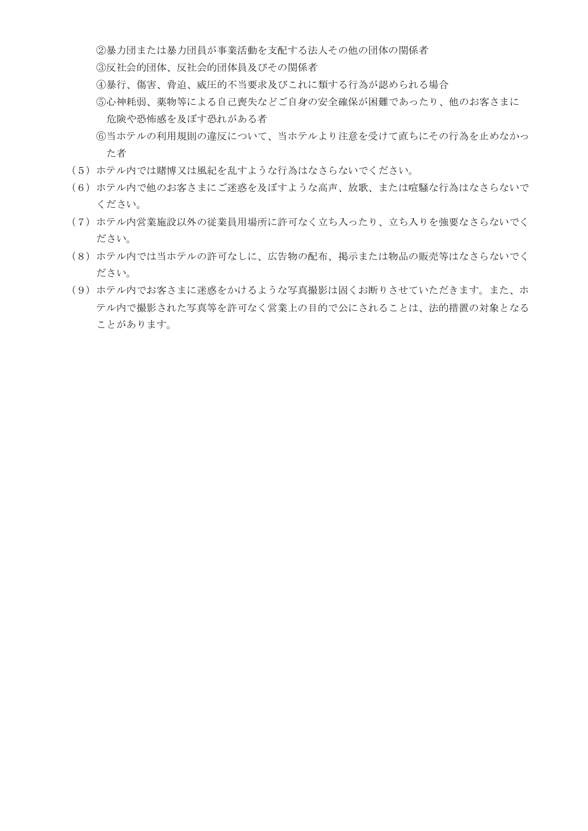②暴力団または暴力団員が事業活動を支配する法人その他の団体の関係者

③反社会的団体、反社会的団体員及びその関係者

- ④暴行、傷害、脅迫、威圧的不当要求及びこれに類する行為が認められる場合
- ⑤心神耗弱、薬物等による自己喪失などご自身の安全確保が困難であったり、他のお客さまに 危険や恐怖感を及ぼす恐れがある者
- ⑥当ホテルの利用規則の違反について、当ホテルより注意を受けて直ちにその行為を止めなかっ た者
- (5)ホテル内では賭博又は風紀を乱すような行為はなさらないでください。
- (6)ホテル内で他のお客さまにご迷惑を及ぼすような高声、放歌、または喧騒な行為はなさらないで ください。
- (7)ホテル内営業施設以外の従業員用場所に許可なく立ち入ったり、立ち入りを強要なさらないでく ださい。
- (8)ホテル内では当ホテルの許可なしに、広告物の配布、掲示または物品の販売等はなさらないでく ださい。
- (9)ホテル内でお客さまに迷惑をかけるような写真撮影は固くお断りさせていただきます。また、ホ テル内で撮影された写真等を許可なく営業上の目的で公にされることは、法的措置の対象となる ことがあります。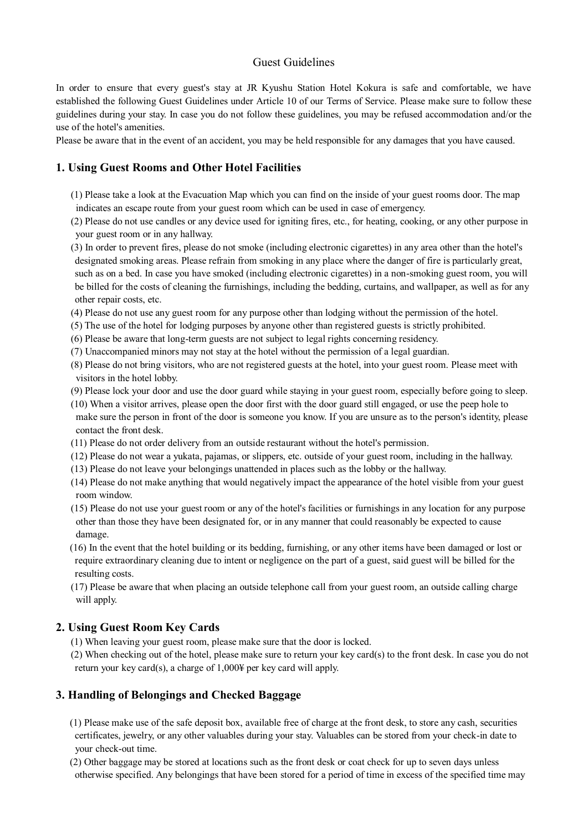# Guest Guidelines

In order to ensure that every guest's stay at JR Kyushu Station Hotel Kokura is safe and comfortable, we have established the following Guest Guidelines under Article 10 of our Terms of Service. Please make sure to follow these guidelines during your stay. In case you do not follow these guidelines, you may be refused accommodation and/or the use of the hotel's amenities.

Please be aware that in the event of an accident, you may be held responsible for any damages that you have caused.

# **1. Using Guest Rooms and Other Hotel Facilities**

- (1) Please take a look at the Evacuation Map which you can find on the inside of your guest rooms door. The map indicates an escape route from your guest room which can be used in case of emergency.
- (2) Please do not use candles or any device used for igniting fires, etc., for heating, cooking, or any other purpose in your guest room or in any hallway.
- (3) In order to prevent fires, please do not smoke (including electronic cigarettes) in any area other than the hotel's designated smoking areas. Please refrain from smoking in any place where the danger of fire is particularly great, such as on a bed. In case you have smoked (including electronic cigarettes) in a non-smoking guest room, you will be billed for the costs of cleaning the furnishings, including the bedding, curtains, and wallpaper, as well as for any other repair costs, etc.
- (4) Please do not use any guest room for any purpose other than lodging without the permission of the hotel.
- (5) The use of the hotel for lodging purposes by anyone other than registered guests is strictly prohibited.
- (6) Please be aware that long-term guests are not subject to legal rights concerning residency.
- (7) Unaccompanied minors may not stay at the hotel without the permission of a legal guardian.
- (8) Please do not bring visitors, who are not registered guests at the hotel, into your guest room. Please meet with visitors in the hotel lobby.
- (9) Please lock your door and use the door guard while staying in your guest room, especially before going to sleep.
- (10) When a visitor arrives, please open the door first with the door guard still engaged, or use the peep hole to make sure the person in front of the door is someone you know. If you are unsure as to the person's identity, please contact the front desk.
- (11) Please do not order delivery from an outside restaurant without the hotel's permission.
- (12) Please do not wear a yukata, pajamas, or slippers, etc. outside of your guest room, including in the hallway.
- (13) Please do not leave your belongings unattended in places such as the lobby or the hallway.
- (14) Please do not make anything that would negatively impact the appearance of the hotel visible from your guest room window.
- (15) Please do not use your guest room or any of the hotel's facilities or furnishings in any location for any purpose other than those they have been designated for, or in any manner that could reasonably be expected to cause damage.
- (16) In the event that the hotel building or its bedding, furnishing, or any other items have been damaged or lost or require extraordinary cleaning due to intent or negligence on the part of a guest, said guest will be billed for the resulting costs.
- (17) Please be aware that when placing an outside telephone call from your guest room, an outside calling charge will apply.

# **2. Using Guest Room Key Cards**

- (1) When leaving your guest room, please make sure that the door is locked.
- (2) When checking out of the hotel, please make sure to return your key card(s) to the front desk. In case you do not return your key card(s), a charge of 1,000¥ per key card will apply.

# **3. Handling of Belongings and Checked Baggage**

- (1) Please make use of the safe deposit box, available free of charge at the front desk, to store any cash, securities certificates, jewelry, or any other valuables during your stay. Valuables can be stored from your check-in date to your check-out time.
- (2) Other baggage may be stored at locations such as the front desk or coat check for up to seven days unless otherwise specified. Any belongings that have been stored for a period of time in excess of the specified time may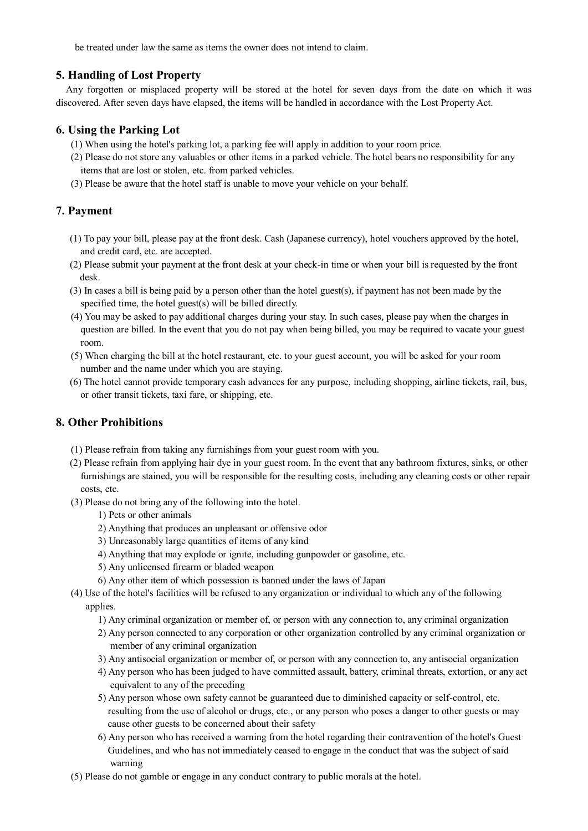be treated under law the same as items the owner does not intend to claim.

#### **5. Handling of Lost Property**

Any forgotten or misplaced property will be stored at the hotel for seven days from the date on which it was discovered. After seven days have elapsed, the items will be handled in accordance with the Lost Property Act.

#### **6. Using the Parking Lot**

- (1) When using the hotel's parking lot, a parking fee will apply in addition to your room price.
- (2) Please do not store any valuables or other items in a parked vehicle. The hotel bears no responsibility for any items that are lost or stolen, etc. from parked vehicles.
- (3) Please be aware that the hotel staff is unable to move your vehicle on your behalf.

#### **7. Payment**

- (1) To pay your bill, please pay at the front desk. Cash (Japanese currency), hotel vouchers approved by the hotel, and credit card, etc. are accepted.
- (2) Please submit your payment at the front desk at your check-in time or when your bill is requested by the front desk.
- (3) In cases a bill is being paid by a person other than the hotel guest(s), if payment has not been made by the specified time, the hotel guest(s) will be billed directly.
- (4) You may be asked to pay additional charges during your stay. In such cases, please pay when the charges in question are billed. In the event that you do not pay when being billed, you may be required to vacate your guest room.
- (5) When charging the bill at the hotel restaurant, etc. to your guest account, you will be asked for your room number and the name under which you are staying.
- (6) The hotel cannot provide temporary cash advances for any purpose, including shopping, airline tickets, rail, bus, or other transit tickets, taxi fare, or shipping, etc.

# **8. Other Prohibitions**

- (1) Please refrain from taking any furnishings from your guest room with you.
- (2) Please refrain from applying hair dye in your guest room. In the event that any bathroom fixtures, sinks, or other furnishings are stained, you will be responsible for the resulting costs, including any cleaning costs or other repair costs, etc.
- (3) Please do not bring any of the following into the hotel.
	- 1) Pets or other animals
	- 2) Anything that produces an unpleasant or offensive odor
	- 3) Unreasonably large quantities of items of any kind
	- 4) Anything that may explode or ignite, including gunpowder or gasoline, etc.
	- 5) Any unlicensed firearm or bladed weapon
	- 6) Any other item of which possession is banned under the laws of Japan
- (4) Use of the hotel's facilities will be refused to any organization or individual to which any of the following applies.
	- 1) Any criminal organization or member of, or person with any connection to, any criminal organization
	- 2) Any person connected to any corporation or other organization controlled by any criminal organization or member of any criminal organization
	- 3) Any antisocial organization or member of, or person with any connection to, any antisocial organization
	- 4) Any person who has been judged to have committed assault, battery, criminal threats, extortion, or any act equivalent to any of the preceding
	- 5) Any person whose own safety cannot be guaranteed due to diminished capacity or self-control, etc. resulting from the use of alcohol or drugs, etc., or any person who poses a danger to other guests or may cause other guests to be concerned about their safety
	- 6) Any person who has received a warning from the hotel regarding their contravention of the hotel's Guest Guidelines, and who has not immediately ceased to engage in the conduct that was the subject of said warning
- (5) Please do not gamble or engage in any conduct contrary to public morals at the hotel.